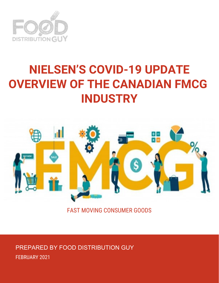

# **NIELSEN'S COVID-19 UPDATE OVERVIEW OF THE CANADIAN FMCG INDUSTRY**



FAST MOVING CONSUMER GOODS

PREPARED BY FOOD DISTRIBUTION GUY FEBRUARY 2021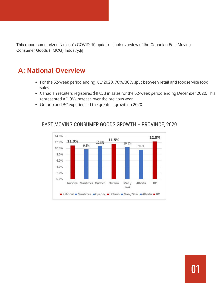This report summarizes Nielsen's COVID-19 update – their overview of the Canadian Fast Moving Consumer Goods (FMCG) Industry.[i]

## **A: National Overview**

- For the 52-week period ending July 2020, 70%/30% split between retail and foodservice food sales.
- Canadian retailers registered \$117.5B in sales for the 52-week period ending December 2020. This represented a 11.0% increase over the previous year.
- Ontario and BC experienced the greatest growth in 2020:



#### FAST MOVING CONSUMER GOODS GROWTH – PROVINCE, 2020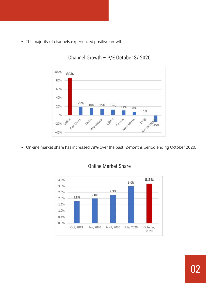The majority of channels experienced positive growth:



### Channel Growth – P/E October 3/ 2020

On-line market share has increased 78% over the past 12-months period ending October 2020.



#### Online Market Share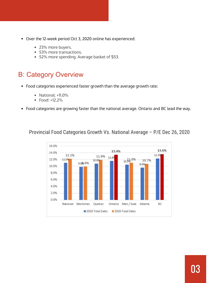- Over the 12-week period Oct 3, 2020 online has experienced:
	- 23% more buyers.
	- 53% more transactions.
	- 52% more spending. Average basket of \$53.

## B: Category Overview

- Food categories experienced faster growth than the average growth rate:
	- National: +11.0%
	- Food: +12.2%
- Food categories are growing faster than the national average. Ontario and BC lead the way.

Provincial Food Categories Growth Vs. National Average – P/E Dec 26, 2020

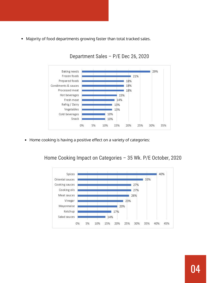Majority of food departments growing faster than total tracked sales.



Department Sales – P/E Dec 26, 2020

Home cooking is having a positive effect on a variety of categories:  $\bullet$ 

Home Cooking Impact on Categories – 35 Wk. P/E October, 2020

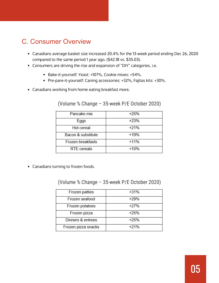## C. Consumer Overview

- Canadians average basket size increased 20.4% for the 13-week period ending Dec 26, 2020 compared to the same period 1 year ago. (\$42.18 vs. \$35.03).
- Consumers are driving the rise and expansion of "DIY" categories. i.e.
	- Bake-it-yourself: Yeast: +107%, Cookie mixes: +54%.
	- Pre-pare-it-yourself: Caning accessories: +32%, Fajitas kits: +30%.
- Canadians working from home eating breakfast more.

| Pancake mix        | $+25%$ |
|--------------------|--------|
| Eggs               | $+23%$ |
| Hot cereal         | $+21%$ |
| Bacon & substitute | $+19%$ |
| Frozen breakfasts  | $+11%$ |
| <b>RTE</b> cereals | $+10%$ |

#### (Volume % Change – 35-week P/E October 2020)

Canadians turning to frozen foods.

#### (Volume % Change – 35-week P/E October 2020)

| Frozen patties      | $+31%$ |
|---------------------|--------|
| Frozen seafood      | $+29%$ |
| Frozen potatoes     | $+27%$ |
| Frozen pizza        | $+25%$ |
| Dinners & entrees   | $+25%$ |
| Frozen pizza snacks | $+21%$ |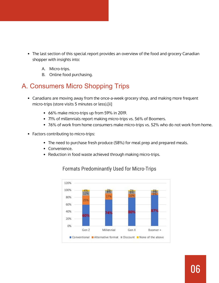- $\bullet$ The last section of this special report provides an overview of the food and grocery Canadian shopper with insights into:
	- A. Micro-trips.
	- B. Online food purchasing.

## A. Consumers Micro Shopping Trips

- Canadians are moving away from the once-a-week grocery shop, and making more frequent micro-trips (store visits 5 minutes or less).[ii]
	- 66% make micro-trips up from 59% in 2019.
	- 71% of millennials report making micro-trips vs. 56% of Boomers.
	- 76% of work from home consumers make micro-trips vs. 52% who do not work from home.
- Factors contributing to micro-trips:
	- The need to purchase fresh produce (58%) for meal prep and prepared meals.
	- Convenience.
	- Reduction in food waste achieved through making micro-trips.



#### Formats Predominantly Used for Micro-Trips